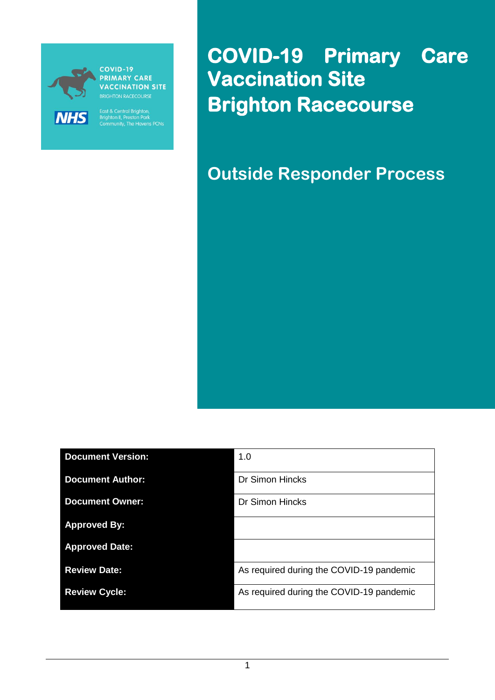

**PRIMARY CARE VACCINATION SITE** 

East & Central Brighton,<br>Brighton II, Preston Park<br>Community, The Havens PCNs

**COVID-19 Primary Care Vaccination Site Brighton Racecourse** 

**Outside Responder Process**

| <b>Document Version:</b> | 1.0                                      |
|--------------------------|------------------------------------------|
| <b>Document Author:</b>  | Dr Simon Hincks                          |
| <b>Document Owner:</b>   | <b>Dr Simon Hincks</b>                   |
| <b>Approved By:</b>      |                                          |
| <b>Approved Date:</b>    |                                          |
| <b>Review Date:</b>      | As required during the COVID-19 pandemic |
| <b>Review Cycle:</b>     | As required during the COVID-19 pandemic |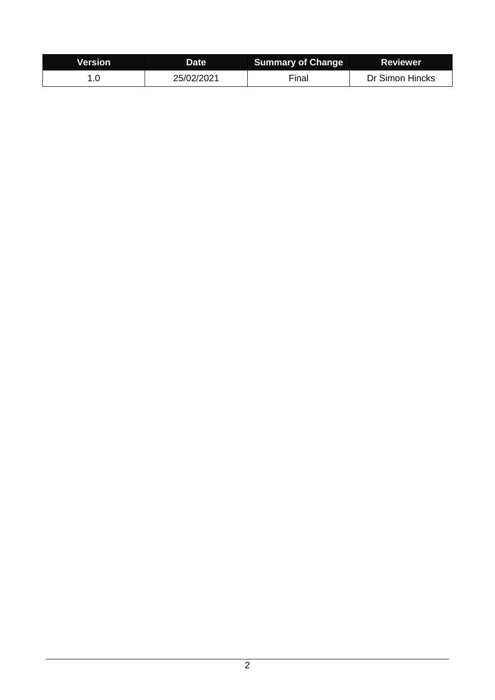| <b>Nersion</b> | Date       | <b>Summary of Change</b> | <b>Reviewer</b> |
|----------------|------------|--------------------------|-----------------|
|                | 25/02/2021 | Final                    | Dr Simon Hincks |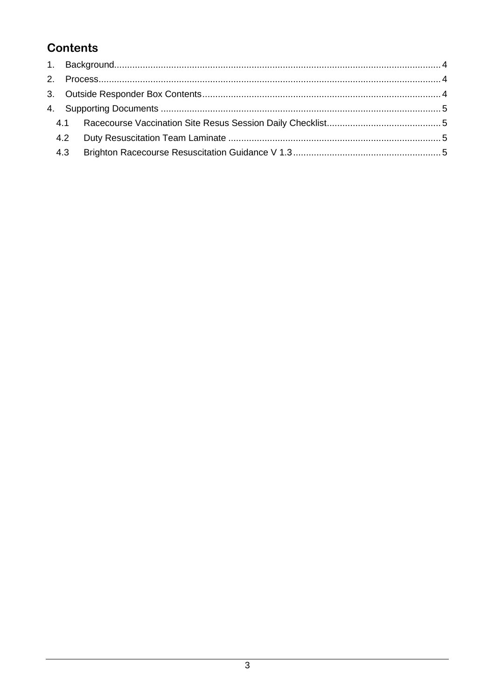## **Contents**

| 4.2 |  |
|-----|--|
| 4.3 |  |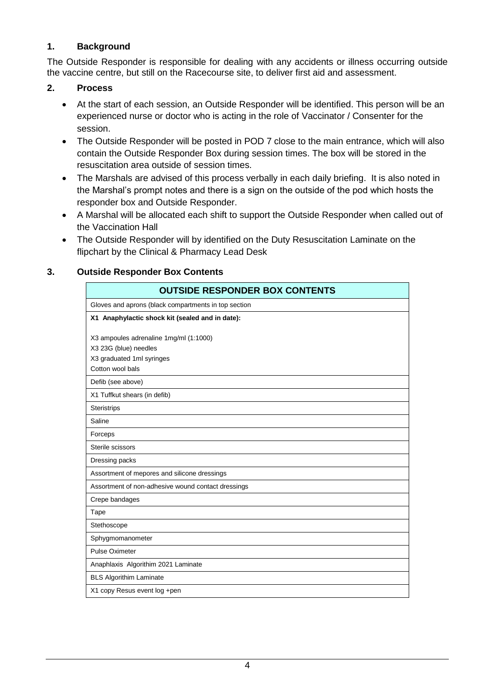## <span id="page-3-0"></span>**1. Background**

The Outside Responder is responsible for dealing with any accidents or illness occurring outside the vaccine centre, but still on the Racecourse site, to deliver first aid and assessment.

## <span id="page-3-1"></span>**2. Process**

- At the start of each session, an Outside Responder will be identified. This person will be an experienced nurse or doctor who is acting in the role of Vaccinator / Consenter for the session.
- The Outside Responder will be posted in POD 7 close to the main entrance, which will also contain the Outside Responder Box during session times. The box will be stored in the resuscitation area outside of session times.
- The Marshals are advised of this process verbally in each daily briefing. It is also noted in the Marshal's prompt notes and there is a sign on the outside of the pod which hosts the responder box and Outside Responder.
- A Marshal will be allocated each shift to support the Outside Responder when called out of the Vaccination Hall
- The Outside Responder will by identified on the Duty Resuscitation Laminate on the flipchart by the Clinical & Pharmacy Lead Desk

## <span id="page-3-2"></span>**3. Outside Responder Box Contents**

| <b>OUTSIDE RESPONDER BOX CONTENTS</b>                |
|------------------------------------------------------|
| Gloves and aprons (black compartments in top section |
| X1 Anaphylactic shock kit (sealed and in date):      |
|                                                      |
| X3 ampoules adrenaline 1mg/ml (1:1000)               |
| X3 23G (blue) needles                                |
| X3 graduated 1ml syringes<br>Cotton wool bals        |
|                                                      |
| Defib (see above)                                    |
| X1 Tuffkut shears (in defib)                         |
| <b>Steristrips</b>                                   |
| Saline                                               |
| Forceps                                              |
| Sterile scissors                                     |
| Dressing packs                                       |
| Assortment of mepores and silicone dressings         |
| Assortment of non-adhesive wound contact dressings   |
| Crepe bandages                                       |
| Tape                                                 |
| Stethoscope                                          |
| Sphygmomanometer                                     |
| Pulse Oximeter                                       |
| Anaphlaxis Algorithim 2021 Laminate                  |
| <b>BLS Algorithim Laminate</b>                       |
| X1 copy Resus event log +pen                         |